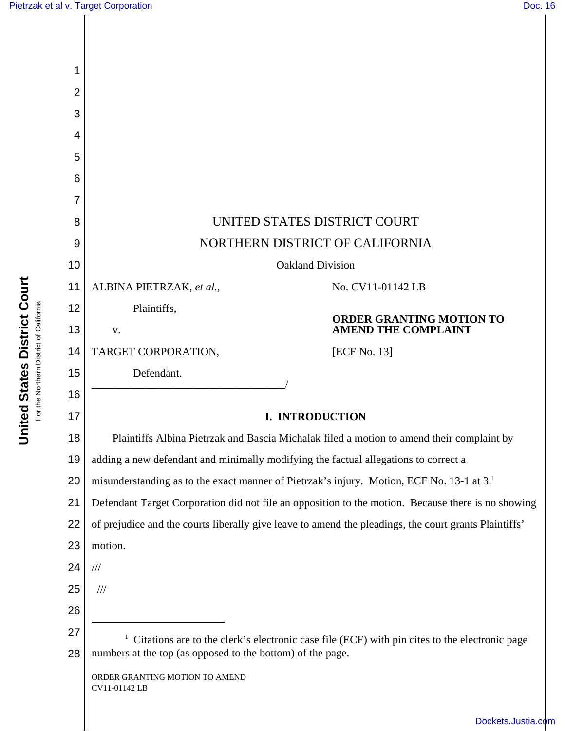| 1              |                                                                                                       |
|----------------|-------------------------------------------------------------------------------------------------------|
| $\overline{2}$ |                                                                                                       |
| 3              |                                                                                                       |
| 4              |                                                                                                       |
| 5              |                                                                                                       |
| 6              |                                                                                                       |
| 7              |                                                                                                       |
| 8              | UNITED STATES DISTRICT COURT                                                                          |
| 9              | NORTHERN DISTRICT OF CALIFORNIA                                                                       |
| 10             | <b>Oakland Division</b>                                                                               |
| 11             | ALBINA PIETRZAK, et al.,<br>No. CV11-01142 LB                                                         |
| 12             | Plaintiffs,<br><b>ORDER GRANTING MOTION TO</b>                                                        |
| 13             | <b>AMEND THE COMPLAINT</b><br>V.                                                                      |
| 14             | TARGET CORPORATION,<br>[ECF No. 13]                                                                   |
| 15<br>16       | Defendant.                                                                                            |
| 17             | I. INTRODUCTION                                                                                       |
| 18             | Plaintiffs Albina Pietrzak and Bascia Michalak filed a motion to amend their complaint by             |
| 19             | adding a new defendant and minimally modifying the factual allegations to correct a                   |
| 20             | misunderstanding as to the exact manner of Pietrzak's injury. Motion, ECF No. 13-1 at 3.              |
| 21             | Defendant Target Corporation did not file an opposition to the motion. Because there is no showing    |
| 22             | of prejudice and the courts liberally give leave to amend the pleadings, the court grants Plaintiffs' |
| 23             | motion.                                                                                               |
| 24             | $/\!/ \!/$                                                                                            |
| 25             | $\frac{1}{1}$                                                                                         |
| 26             |                                                                                                       |
| 27             | Citations are to the clerk's electronic case file (ECF) with pin cites to the electronic page         |
| 28             | numbers at the top (as opposed to the bottom) of the page.                                            |
|                | ORDER GRANTING MOTION TO AMEND<br>CV11-01142 LB                                                       |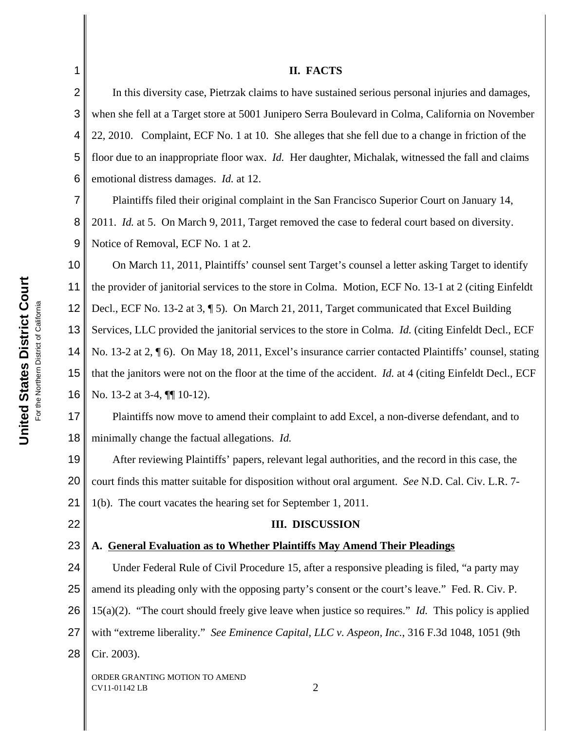## **II. FACTS**

In this diversity case, Pietrzak claims to have sustained serious personal injuries and damages, when she fell at a Target store at 5001 Junipero Serra Boulevard in Colma, California on November 22, 2010. Complaint, ECF No. 1 at 10. She alleges that she fell due to a change in friction of the floor due to an inappropriate floor wax. *Id.* Her daughter, Michalak, witnessed the fall and claims emotional distress damages. *Id.* at 12.

7 8 9 Plaintiffs filed their original complaint in the San Francisco Superior Court on January 14, 2011. *Id.* at 5. On March 9, 2011, Target removed the case to federal court based on diversity. Notice of Removal, ECF No. 1 at 2.

10 11 12 13 14 15 16 On March 11, 2011, Plaintiffs' counsel sent Target's counsel a letter asking Target to identify the provider of janitorial services to the store in Colma. Motion, ECF No. 13-1 at 2 (citing Einfeldt Decl., ECF No. 13-2 at 3, ¶ 5). On March 21, 2011, Target communicated that Excel Building Services, LLC provided the janitorial services to the store in Colma. *Id.* (citing Einfeldt Decl., ECF No. 13-2 at 2, ¶ 6). On May 18, 2011, Excel's insurance carrier contacted Plaintiffs' counsel, stating that the janitors were not on the floor at the time of the accident. *Id.* at 4 (citing Einfeldt Decl., ECF No. 13-2 at 3-4,  $\P\P$  10-12).

17 18 Plaintiffs now move to amend their complaint to add Excel, a non-diverse defendant, and to minimally change the factual allegations. *Id.*

19 20 21 After reviewing Plaintiffs' papers, relevant legal authorities, and the record in this case, the court finds this matter suitable for disposition without oral argument. *See* N.D. Cal. Civ. L.R. 7- 1(b). The court vacates the hearing set for September 1, 2011.

22

1

2

3

4

5

6

# **III. DISCUSSION**

#### 23 **A. General Evaluation as to Whether Plaintiffs May Amend Their Pleadings**

24 25 26 27 28 Under Federal Rule of Civil Procedure 15, after a responsive pleading is filed, "a party may amend its pleading only with the opposing party's consent or the court's leave." Fed. R. Civ. P. 15(a)(2). "The court should freely give leave when justice so requires." *Id.* This policy is applied with "extreme liberality." *See Eminence Capital, LLC v. Aspeon, Inc.*, 316 F.3d 1048, 1051 (9th Cir. 2003).

ORDER GRANTING MOTION TO AMEND  $CV11-01142$  LB  $2$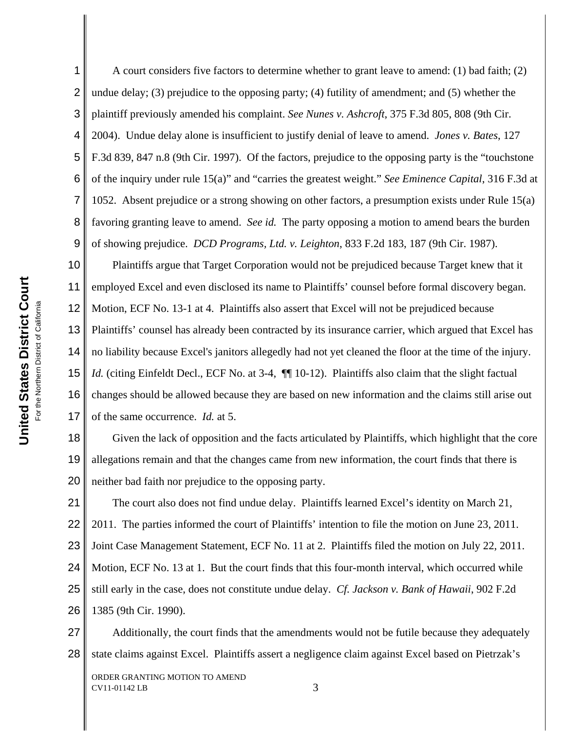1 2 3 4 5 6 7 8 9 A court considers five factors to determine whether to grant leave to amend: (1) bad faith; (2) undue delay; (3) prejudice to the opposing party; (4) futility of amendment; and (5) whether the plaintiff previously amended his complaint. *See Nunes v. Ashcroft*, 375 F.3d 805, 808 (9th Cir. 2004). Undue delay alone is insufficient to justify denial of leave to amend. *Jones v. Bates*, 127 F.3d 839, 847 n.8 (9th Cir. 1997). Of the factors, prejudice to the opposing party is the "touchstone of the inquiry under rule 15(a)" and "carries the greatest weight." *See Eminence Capital*, 316 F.3d at 1052. Absent prejudice or a strong showing on other factors, a presumption exists under Rule 15(a) favoring granting leave to amend. *See id.*The party opposing a motion to amend bears the burden of showing prejudice. *DCD Programs, Ltd. v. Leighton*, 833 F.2d 183, 187 (9th Cir. 1987).

10 11 12 13 14 15 16 17 Plaintiffs argue that Target Corporation would not be prejudiced because Target knew that it employed Excel and even disclosed its name to Plaintiffs' counsel before formal discovery began. Motion, ECF No. 13-1 at 4. Plaintiffs also assert that Excel will not be prejudiced because Plaintiffs' counsel has already been contracted by its insurance carrier, which argued that Excel has no liability because Excel's janitors allegedly had not yet cleaned the floor at the time of the injury. *Id.* (citing Einfeldt Decl., ECF No. at 3-4,  $\P$  10-12). Plaintiffs also claim that the slight factual changes should be allowed because they are based on new information and the claims still arise out of the same occurrence. *Id.* at 5.

18 19 20 Given the lack of opposition and the facts articulated by Plaintiffs, which highlight that the core allegations remain and that the changes came from new information, the court finds that there is neither bad faith nor prejudice to the opposing party.

21 22 23 24 25 26 The court also does not find undue delay. Plaintiffs learned Excel's identity on March 21, 2011. The parties informed the court of Plaintiffs' intention to file the motion on June 23, 2011. Joint Case Management Statement, ECF No. 11 at 2. Plaintiffs filed the motion on July 22, 2011. Motion, ECF No. 13 at 1. But the court finds that this four-month interval, which occurred while still early in the case, does not constitute undue delay. *Cf. Jackson v. Bank of Hawaii*, 902 F.2d 1385 (9th Cir. 1990).

27 28 Additionally, the court finds that the amendments would not be futile because they adequately state claims against Excel. Plaintiffs assert a negligence claim against Excel based on Pietrzak's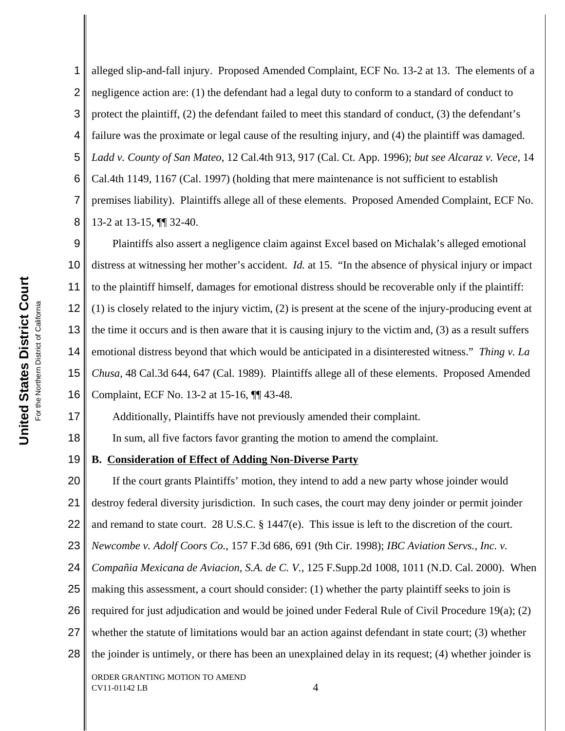17

1 2 3 4 5 6 7 8 alleged slip-and-fall injury. Proposed Amended Complaint, ECF No. 13-2 at 13. The elements of a negligence action are: (1) the defendant had a legal duty to conform to a standard of conduct to protect the plaintiff, (2) the defendant failed to meet this standard of conduct, (3) the defendant's failure was the proximate or legal cause of the resulting injury, and (4) the plaintiff was damaged. *Ladd v. County of San Mateo*, 12 Cal.4th 913, 917 (Cal. Ct. App. 1996); *but see Alcaraz v. Vece*, 14 Cal.4th 1149, 1167 (Cal. 1997) (holding that mere maintenance is not sufficient to establish premises liability). Plaintiffs allege all of these elements. Proposed Amended Complaint, ECF No. 13-2 at 13-15, ¶¶ 32-40.

9 10 11 12 13 14 15 16 Plaintiffs also assert a negligence claim against Excel based on Michalak's alleged emotional distress at witnessing her mother's accident. *Id.* at 15. "In the absence of physical injury or impact to the plaintiff himself, damages for emotional distress should be recoverable only if the plaintiff: (1) is closely related to the injury victim, (2) is present at the scene of the injury-producing event at the time it occurs and is then aware that it is causing injury to the victim and, (3) as a result suffers emotional distress beyond that which would be anticipated in a disinterested witness." *Thing v. La Chusa*, 48 Cal.3d 644, 647 (Cal. 1989). Plaintiffs allege all of these elements. Proposed Amended Complaint, ECF No. 13-2 at 15-16, ¶¶ 43-48.

Additionally, Plaintiffs have not previously amended their complaint.

18 In sum, all five factors favor granting the motion to amend the complaint.

#### 19 **B. Consideration of Effect of Adding Non-Diverse Party**

20 21 22 23 24 25 26 27 28 ORDER GRANTING MOTION TO AMEND If the court grants Plaintiffs' motion, they intend to add a new party whose joinder would destroy federal diversity jurisdiction. In such cases, the court may deny joinder or permit joinder and remand to state court. 28 U.S.C. § 1447(e). This issue is left to the discretion of the court. *Newcombe v. Adolf Coors Co.*, 157 F.3d 686, 691 (9th Cir. 1998); *IBC Aviation Servs., Inc. v. Compañia Mexicana de Aviacion, S.A. de C. V.*, 125 F.Supp.2d 1008, 1011 (N.D. Cal. 2000). When making this assessment, a court should consider: (1) whether the party plaintiff seeks to join is required for just adjudication and would be joined under Federal Rule of Civil Procedure 19(a); (2) whether the statute of limitations would bar an action against defendant in state court; (3) whether the joinder is untimely, or there has been an unexplained delay in its request; (4) whether joinder is

 $CV11-01142$  LB  $4$